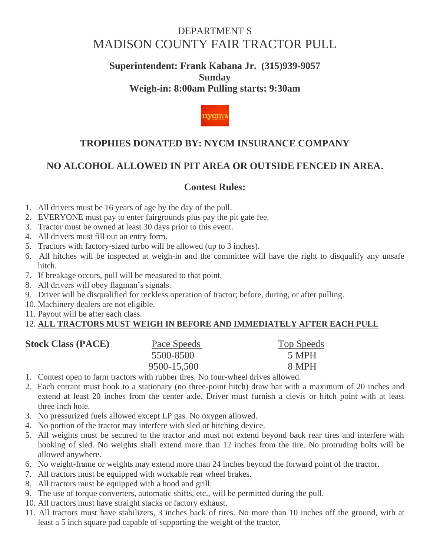## DEPARTMENT S [MADISON COUNTY FAIR TRACTOR PULL](http://www.madisoncounty-fair.com/wheel_days.htm#MADISON COUNTY FAIR TRACTOR PULL#MADISON COUNTY FAIR TRACTOR PULL)

### **Superintendent: Frank Kabana Jr. (315)939-9057 Sunday Weigh-in: 8:00am Pulling starts: 9:30am**



### **TROPHIES DONATED BY: NYCM INSURANCE COMPANY**

## **NO ALCOHOL ALLOWED IN PIT AREA OR OUTSIDE FENCED IN AREA.**

#### **Contest Rules:**

- 1. All drivers must be 16 years of age by the day of the pull.
- 2. EVERYONE must pay to enter fairgrounds plus pay the pit gate fee.
- 3. Tractor must be owned at least 30 days prior to this event.
- 4. All drivers must fill out an entry form.
- 5. Tractors with factory-sized turbo will be allowed (up to 3 inches).
- 6. All hitches will be inspected at weigh-in and the committee will have the right to disqualify any unsafe hitch.
- 7. If breakage occurs, pull will be measured to that point.
- 8. All drivers will obey flagman's signals.
- 9. Driver will be disqualified for reckless operation of tractor; before, during, or after pulling.
- 10. Machinery dealers are not eligible.
- 11. Payout will be after each class.

#### 12. **ALL TRACTORS MUST WEIGH IN BEFORE AND IMMEDIATELY AFTER EACH PULL**

| <b>Stock Class (PACE)</b> | Pace Speeds | <b>Top Speeds</b> |
|---------------------------|-------------|-------------------|
|                           | 5500-8500   | 5 MPH             |
|                           | 9500-15,500 | 8 MPH             |

- 1. Contest open to farm tractors with rubber tires. No four-wheel drives allowed.
- 2. Each entrant must hook to a stationary (no three-point hitch) draw bar with a maximum of 20 inches and extend at least 20 inches from the center axle. Driver must furnish a clevis or hitch point with at least three inch hole.
- 3. No pressurized fuels allowed except LP gas. No oxygen allowed.
- 4. No portion of the tractor may interfere with sled or hitching device.
- 5. All weights must be secured to the tractor and must not extend beyond back rear tires and interfere with hooking of sled. No weights shall extend more than 12 inches from the tire. No protruding bolts will be allowed anywhere.
- 6. No weight-frame or weights may extend more than 24 inches beyond the forward point of the tractor.
- 7. All tractors must be equipped with workable rear wheel brakes.
- 8. All tractors must be equipped with a hood and grill.
- 9. The use of torque converters, automatic shifts, etc., will be permitted during the pull.
- 10. All tractors must have straight stacks or factory exhaust.
- 11. All tractors must have stabilizers, 3 inches back of tires. No more than 10 inches off the ground, with at least a 5 inch square pad capable of supporting the weight of the tractor.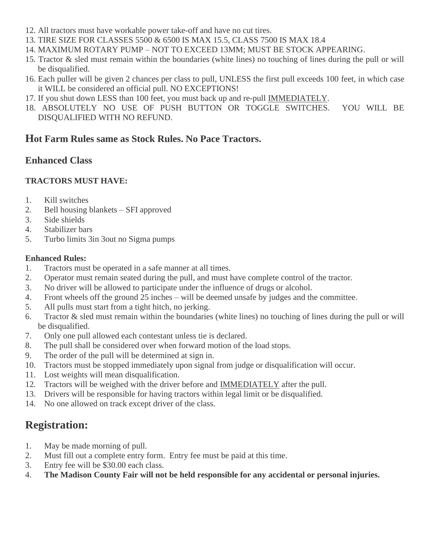- 12. All tractors must have workable power take-off and have no cut tires.
- 13. TIRE SIZE FOR CLASSES 5500 & 6500 IS MAX 15.5, CLASS 7500 IS MAX 18.4
- 14. MAXIMUM ROTARY PUMP NOT TO EXCEED 13MM; MUST BE STOCK APPEARING.
- 15. Tractor & sled must remain within the boundaries (white lines) no touching of lines during the pull or will be disqualified.
- 16. Each puller will be given 2 chances per class to pull, UNLESS the first pull exceeds 100 feet, in which case it WILL be considered an official pull. NO EXCEPTIONS!
- 17. If you shut down LESS than 100 feet, you must back up and re-pull IMMEDIATELY.
- 18. ABSOLUTELY NO USE OF PUSH BUTTON OR TOGGLE SWITCHES. YOU WILL BE DISQUALIFIED WITH NO REFUND.

#### **Hot Farm Rules same as Stock Rules. No Pace Tractors.**

#### **Enhanced Class**

#### **TRACTORS MUST HAVE:**

- 1. Kill switches
- 2. Bell housing blankets SFI approved
- 3. Side shields
- 4. Stabilizer bars
- 5. Turbo limits 3in 3out no Sigma pumps

#### **Enhanced Rules:**

- 1. Tractors must be operated in a safe manner at all times.
- 2. Operator must remain seated during the pull, and must have complete control of the tractor.
- 3. No driver will be allowed to participate under the influence of drugs or alcohol.
- 4. Front wheels off the ground 25 inches will be deemed unsafe by judges and the committee.
- 5. All pulls must start from a tight hitch, no jerking.
- 6. Tractor & sled must remain within the boundaries (white lines) no touching of lines during the pull or will be disqualified.
- 7. Only one pull allowed each contestant unless tie is declared.
- 8. The pull shall be considered over when forward motion of the load stops.
- 9. The order of the pull will be determined at sign in.
- 10. Tractors must be stopped immediately upon signal from judge or disqualification will occur.
- 11. Lost weights will mean disqualification.
- 12. Tractors will be weighed with the driver before and IMMEDIATELY after the pull.
- 13. Drivers will be responsible for having tractors within legal limit or be disqualified.
- 14. No one allowed on track except driver of the class.

### **Registration:**

- 1. May be made morning of pull.
- 2. Must fill out a complete entry form. Entry fee must be paid at this time.
- 3. Entry fee will be \$30.00 each class.
- 4. **The Madison County Fair will not be held responsible for any accidental or personal injuries.**